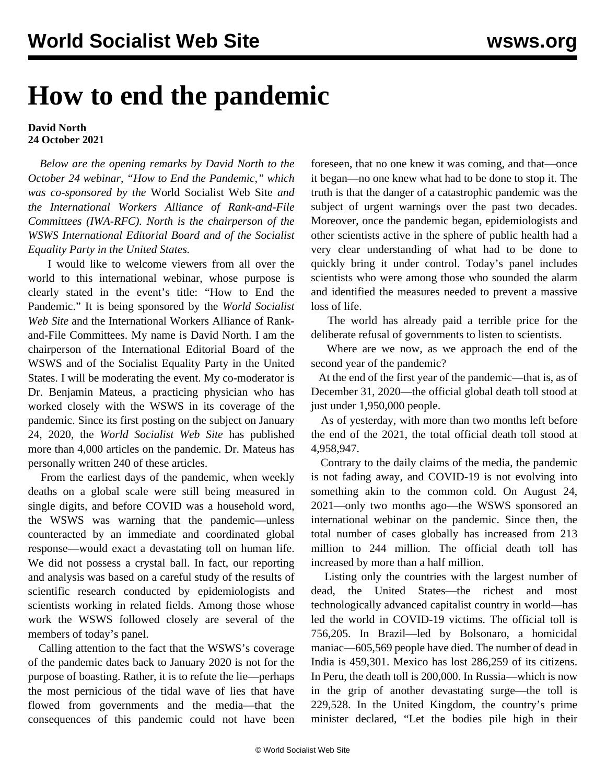## **How to end the pandemic**

## **David North 24 October 2021**

 *Below are the opening remarks by David North to the October 24 webinar, "[How to End the Pandemic,](/en/special/pages/how-to-end-the-pandemic.html)" which was co-sponsored by the* World Socialist Web Site *and the International Workers Alliance of Rank-and-File Committees (IWA-RFC). North is the chairperson of the WSWS International Editorial Board and of the Socialist Equality Party in the United States.*

 I would like to welcome viewers from all over the world to this international webinar, whose purpose is clearly stated in the event's title: "How to End the Pandemic." It is being sponsored by the *World Socialist Web Site* and the International Workers Alliance of Rankand-File Committees. My name is David North. I am the chairperson of the International Editorial Board of the WSWS and of the Socialist Equality Party in the United States. I will be moderating the event. My co-moderator is Dr. Benjamin Mateus, a practicing physician who has worked closely with the WSWS in its coverage of the pandemic. Since its first posting on the subject on January 24, 2020, the *World Socialist Web Site* has published more than 4,000 articles on the pandemic. Dr. Mateus has personally written 240 of these articles.

 From the earliest days of the pandemic, when weekly deaths on a global scale were still being measured in single digits, and before COVID was a household word, the WSWS was warning that the pandemic—unless counteracted by an immediate and coordinated global response—would exact a devastating toll on human life. We did not possess a crystal ball. In fact, our reporting and analysis was based on a careful study of the results of scientific research conducted by epidemiologists and scientists working in related fields. Among those whose work the WSWS followed closely are several of the members of today's panel.

 Calling attention to the fact that the WSWS's coverage of the pandemic dates back to January 2020 is not for the purpose of boasting. Rather, it is to refute the lie—perhaps the most pernicious of the tidal wave of lies that have flowed from governments and the media—that the consequences of this pandemic could not have been foreseen, that no one knew it was coming, and that—once it began—no one knew what had to be done to stop it. The truth is that the danger of a catastrophic pandemic was the subject of urgent warnings over the past two decades. Moreover, once the pandemic began, epidemiologists and other scientists active in the sphere of public health had a very clear understanding of what had to be done to quickly bring it under control. Today's panel includes scientists who were among those who sounded the alarm and identified the measures needed to prevent a massive loss of life.

 The world has already paid a terrible price for the deliberate refusal of governments to listen to scientists.

 Where are we now, as we approach the end of the second year of the pandemic?

 At the end of the first year of the pandemic—that is, as of December 31, 2020—the official global death toll stood at just under 1,950,000 people.

 As of yesterday, with more than two months left before the end of the 2021, the total official death toll stood at 4,958,947.

 Contrary to the daily claims of the media, the pandemic is not fading away, and COVID-19 is not evolving into something akin to the common cold. On August 24, 2021—only two months ago—the WSWS sponsored an international webinar on the pandemic. Since then, the total number of cases globally has increased from 213 million to 244 million. The official death toll has increased by more than a half million.

 Listing only the countries with the largest number of dead, the United States—the richest and most technologically advanced capitalist country in world—has led the world in COVID-19 victims. The official toll is 756,205. In Brazil—led by Bolsonaro, a homicidal maniac—605,569 people have died. The number of dead in India is 459,301. Mexico has lost 286,259 of its citizens. In Peru, the death toll is 200,000. In Russia—which is now in the grip of another devastating surge—the toll is 229,528. In the United Kingdom, the country's prime minister declared, "Let the bodies pile high in their